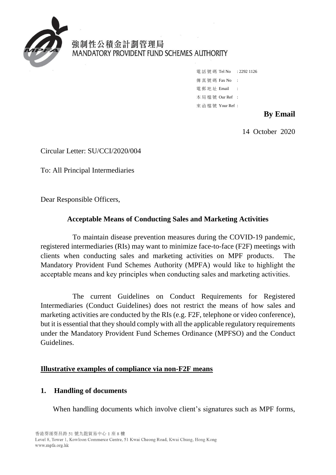

# 強制性公積金計劃管理局 MANDATORY PROVIDENT FUND SCHEMES AUTHORITY

電話號碼 Tel No : 2292 1126 傳 真 號 碼 Fax No : 電 郵 地 址 Email : 本 局 檔 號 Our Ref : 來 函 檔 號 Your Ref :

## **By Email**

14 October 2020

Circular Letter: SU/CCI/2020/004

To: All Principal Intermediaries

Dear Responsible Officers,

## **Acceptable Means of Conducting Sales and Marketing Activities**

To maintain disease prevention measures during the COVID-19 pandemic, registered intermediaries (RIs) may want to minimize face-to-face (F2F) meetings with clients when conducting sales and marketing activities on MPF products. The Mandatory Provident Fund Schemes Authority (MPFA) would like to highlight the acceptable means and key principles when conducting sales and marketing activities.

The current Guidelines on Conduct Requirements for Registered Intermediaries (Conduct Guidelines) does not restrict the means of how sales and marketing activities are conducted by the RIs (e.g. F2F, telephone or video conference), but it is essential that they should comply with all the applicable regulatory requirements under the Mandatory Provident Fund Schemes Ordinance (MPFSO) and the Conduct Guidelines.

## **Illustrative examples of compliance via non-F2F means**

## **1. Handling of documents**

When handling documents which involve client's signatures such as MPF forms,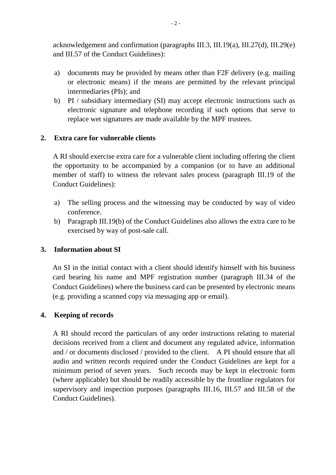acknowledgement and confirmation (paragraphs III.3, III.19(a), III.27(d), III.29(e) and III.57 of the Conduct Guidelines):

- a) documents may be provided by means other than F2F delivery (e.g. mailing or electronic means) if the means are permitted by the relevant principal intermediaries (PIs); and
- b) PI / subsidiary intermediary (SI) may accept electronic instructions such as electronic signature and telephone recording if such options that serve to replace wet signatures are made available by the MPF trustees.

## **2. Extra care for vulnerable clients**

A RI should exercise extra care for a vulnerable client including offering the client the opportunity to be accompanied by a companion (or to have an additional member of staff) to witness the relevant sales process (paragraph III.19 of the Conduct Guidelines):

- a) The selling process and the witnessing may be conducted by way of video conference.
- b) Paragraph III.19(b) of the Conduct Guidelines also allows the extra care to be exercised by way of post-sale call.

## **3. Information about SI**

An SI in the initial contact with a client should identify himself with his business card bearing his name and MPF registration number (paragraph III.34 of the Conduct Guidelines) where the business card can be presented by electronic means (e.g. providing a scanned copy via messaging app or email).

## **4. Keeping of records**

A RI should record the particulars of any order instructions relating to material decisions received from a client and document any regulated advice, information and / or documents disclosed / provided to the client. A PI should ensure that all audio and written records required under the Conduct Guidelines are kept for a minimum period of seven years. Such records may be kept in electronic form (where applicable) but should be readily accessible by the frontline regulators for supervisory and inspection purposes (paragraphs III.16, III.57 and III.58 of the Conduct Guidelines).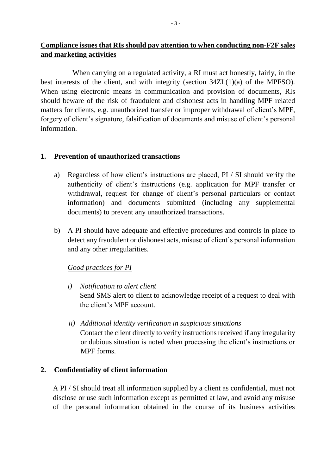# **Compliance issues that RIs should pay attention to when conducting non-F2F sales and marketing activities**

When carrying on a regulated activity, a RI must act honestly, fairly, in the best interests of the client, and with integrity (section 34ZL(1)(a) of the MPFSO). When using electronic means in communication and provision of documents, RIs should beware of the risk of fraudulent and dishonest acts in handling MPF related matters for clients, e.g. unauthorized transfer or improper withdrawal of client's MPF, forgery of client's signature, falsification of documents and misuse of client's personal information.

#### **1. Prevention of unauthorized transactions**

- a) Regardless of how client's instructions are placed, PI / SI should verify the authenticity of client's instructions (e.g. application for MPF transfer or withdrawal, request for change of client's personal particulars or contact information) and documents submitted (including any supplemental documents) to prevent any unauthorized transactions.
- b) A PI should have adequate and effective procedures and controls in place to detect any fraudulent or dishonest acts, misuse of client's personal information and any other irregularities.

## *Good practices for PI*

- *i) Notification to alert client* Send SMS alert to client to acknowledge receipt of a request to deal with the client's MPF account.
- *ii) Additional identity verification in suspicious situations* Contact the client directly to verify instructions received if any irregularity or dubious situation is noted when processing the client's instructions or MPF forms.

## **2. Confidentiality of client information**

A PI / SI should treat all information supplied by a client as confidential, must not disclose or use such information except as permitted at law, and avoid any misuse of the personal information obtained in the course of its business activities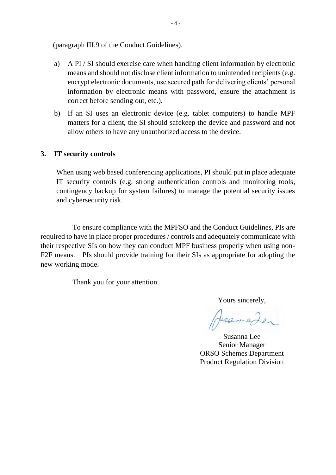(paragraph III.9 of the Conduct Guidelines).

- a) A PI / SI should exercise care when handling client information by electronic means and should not disclose client information to unintended recipients (e.g. encrypt electronic documents, use secured path for delivering clients' personal information by electronic means with password, ensure the attachment is correct before sending out, etc.).
- b) If an SI uses an electronic device (e.g. tablet computers) to handle MPF matters for a client, the SI should safekeep the device and password and not allow others to have any unauthorized access to the device.

#### **3. IT security controls**

When using web based conferencing applications, PI should put in place adequate IT security controls (e.g. strong authentication controls and monitoring tools, contingency backup for system failures) to manage the potential security issues and cybersecurity risk.

To ensure compliance with the MPFSO and the Conduct Guidelines, PIs are required to have in place proper procedures / controls and adequately communicate with their respective SIs on how they can conduct MPF business properly when using non-F2F means. PIs should provide training for their SIs as appropriate for adopting the new working mode.

Thank you for your attention.

Yours sincerely,

Hueneder

Susanna Lee Senior Manager ORSO Schemes Department Product Regulation Division